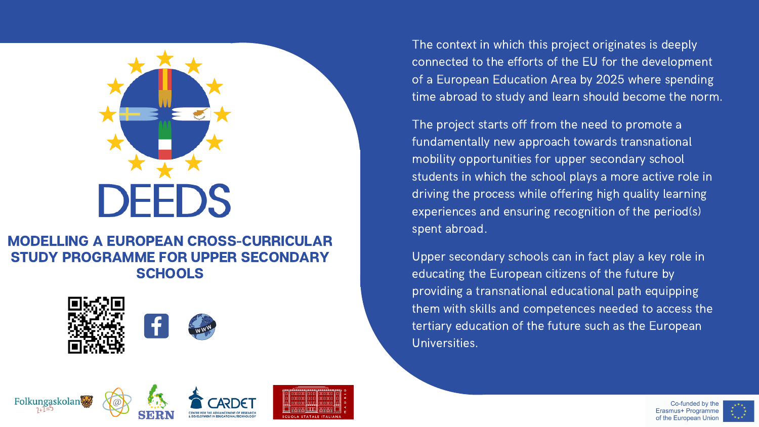

## MODELLING A EUROPEAN CROSS-CURRICULAR STUDY PROGRAMME FOR UPPER SECONDARY **SCHOOLS**











The context in which this project originates is deeply connected to the efforts of the EU for the development of a European Education Area by 2025 where spending time abroad to study and learn should become the norm.

The project starts off from the need to promote a fundamentally new approach towards transnational mobility opportunities for upper secondary school students in which the school plays a more active role in driving the process while offering high quality learning experiences and ensuring recognition of the period(s) spent abroad.

Upper secondary schools can in fact play a key role in educating the European citizens of the future by providing a transnational educational path equipping them with skills and competences needed to access the tertiary education of the future such as the European Universities.

> Co-funded by the Erasmus+ Programme of the European Union